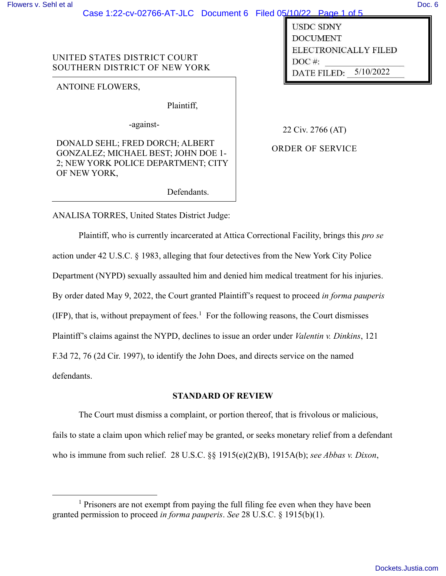# Case 1:22-cv-02766-AT-JLC Document 6 Filed 05/10/22 Page 1 of 5

UNITED STATES DISTRICT COURT SOUTHERN DISTRICT OF NEW YORK

ANTOINE FLOWERS,

Plaintiff,

-against-

DONALD SEHL; FRED DORCH; ALBERT GONZALEZ; MICHAEL BEST; JOHN DOE 1- 2; NEW YORK POLICE DEPARTMENT; CITY OF NEW YORK,

22 Civ. 2766 (AT)

**USDC SDNY DOCUMENT** 

DATE FILED:

 $DOC$ #:

5/10/2022

ELECTRONICALLY FILED

ORDER OF SERVICE

Defendants.

ANALISA TORRES, United States District Judge:

Plaintiff, who is currently incarcerated at Attica Correctional Facility, brings this *pro se* action under 42 U.S.C. § 1983, alleging that four detectives from the New York City Police Department (NYPD) sexually assaulted him and denied him medical treatment for his injuries. By order dated May 9, 2022, the Court granted Plaintiff's request to proceed *in forma pauperis*  $(IFP)$ , that is, without prepayment of fees.<sup>1</sup> For the following reasons, the Court dismisses Plaintiff's claims against the NYPD, declines to issue an order under *Valentin v. Dinkins*, 121 F.3d 72, 76 (2d Cir. 1997), to identify the John Does, and directs service on the named defendants.

# **STANDARD OF REVIEW**

The Court must dismiss a complaint, or portion thereof, that is frivolous or malicious, fails to state a claim upon which relief may be granted, or seeks monetary relief from a defendant who is immune from such relief. 28 U.S.C. §§ 1915(e)(2)(B), 1915A(b); *see Abbas v. Dixon*,

<sup>&</sup>lt;sup>1</sup> Prisoners are not exempt from paying the full filing fee even when they have been granted permission to proceed *in forma pauperis*. *See* 28 U.S.C. § 1915(b)(1).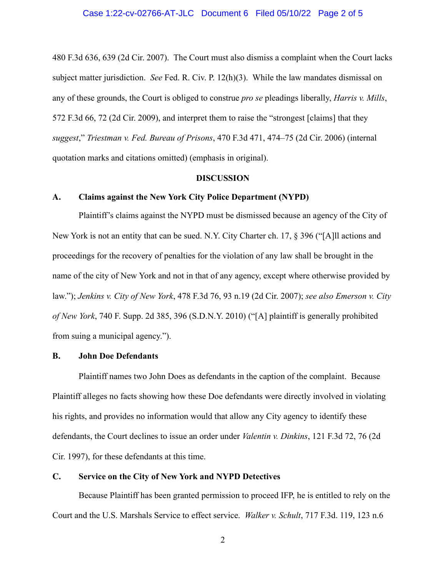#### Case 1:22-cv-02766-AT-JLC Document 6 Filed 05/10/22 Page 2 of 5

480 F.3d 636, 639 (2d Cir. 2007). The Court must also dismiss a complaint when the Court lacks subject matter jurisdiction. *See* Fed. R. Civ. P. 12(h)(3). While the law mandates dismissal on any of these grounds, the Court is obliged to construe *pro se* pleadings liberally, *Harris v. Mills*, 572 F.3d 66, 72 (2d Cir. 2009), and interpret them to raise the "strongest [claims] that they *suggest*," *Triestman v. Fed. Bureau of Prisons*, 470 F.3d 471, 474–75 (2d Cir. 2006) (internal quotation marks and citations omitted) (emphasis in original).

#### **DISCUSSION**

### **A. Claims against the New York City Police Department (NYPD)**

Plaintiff's claims against the NYPD must be dismissed because an agency of the City of New York is not an entity that can be sued. N.Y. City Charter ch. 17, § 396 ("[A]ll actions and proceedings for the recovery of penalties for the violation of any law shall be brought in the name of the city of New York and not in that of any agency, except where otherwise provided by law."); *Jenkins v. City of New York*, 478 F.3d 76, 93 n.19 (2d Cir. 2007); *see also Emerson v. City of New York*, 740 F. Supp. 2d 385, 396 (S.D.N.Y. 2010) ("[A] plaintiff is generally prohibited from suing a municipal agency.").

## **B. John Doe Defendants**

Plaintiff names two John Does as defendants in the caption of the complaint. Because Plaintiff alleges no facts showing how these Doe defendants were directly involved in violating his rights, and provides no information would that allow any City agency to identify these defendants, the Court declines to issue an order under *Valentin v. Dinkins*, 121 F.3d 72, 76 (2d Cir. 1997), for these defendants at this time.

# **C. Service on the City of New York and NYPD Detectives**

Because Plaintiff has been granted permission to proceed IFP, he is entitled to rely on the Court and the U.S. Marshals Service to effect service. *Walker v. Schult*, 717 F.3d. 119, 123 n.6

2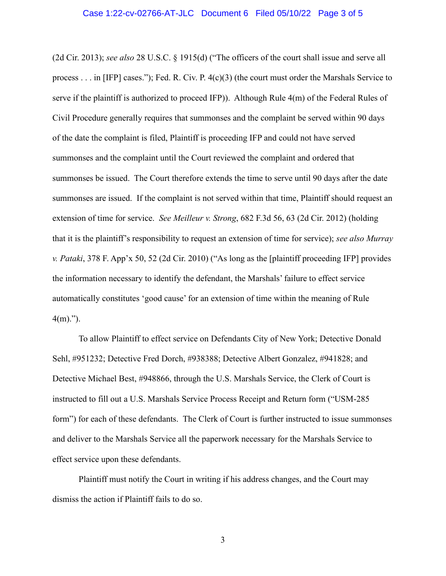#### Case 1:22-cv-02766-AT-JLC Document 6 Filed 05/10/22 Page 3 of 5

(2d Cir. 2013); *see also* 28 U.S.C. § 1915(d) ("The officers of the court shall issue and serve all process  $\dots$  in [IFP] cases."); Fed. R. Civ. P.  $4(c)(3)$  (the court must order the Marshals Service to serve if the plaintiff is authorized to proceed IFP)). Although Rule 4(m) of the Federal Rules of Civil Procedure generally requires that summonses and the complaint be served within 90 days of the date the complaint is filed, Plaintiff is proceeding IFP and could not have served summonses and the complaint until the Court reviewed the complaint and ordered that summonses be issued. The Court therefore extends the time to serve until 90 days after the date summonses are issued. If the complaint is not served within that time, Plaintiff should request an extension of time for service. *See Meilleur v. Strong*, 682 F.3d 56, 63 (2d Cir. 2012) (holding that it is the plaintiff's responsibility to request an extension of time for service); *see also Murray v. Pataki*, 378 F. App'x 50, 52 (2d Cir. 2010) ("As long as the [plaintiff proceeding IFP] provides the information necessary to identify the defendant, the Marshals' failure to effect service automatically constitutes 'good cause' for an extension of time within the meaning of Rule  $4(m)$ .").

To allow Plaintiff to effect service on Defendants City of New York; Detective Donald Sehl, #951232; Detective Fred Dorch, #938388; Detective Albert Gonzalez, #941828; and Detective Michael Best, #948866, through the U.S. Marshals Service, the Clerk of Court is instructed to fill out a U.S. Marshals Service Process Receipt and Return form ("USM-285 form") for each of these defendants. The Clerk of Court is further instructed to issue summonses and deliver to the Marshals Service all the paperwork necessary for the Marshals Service to effect service upon these defendants.

Plaintiff must notify the Court in writing if his address changes, and the Court may dismiss the action if Plaintiff fails to do so.

3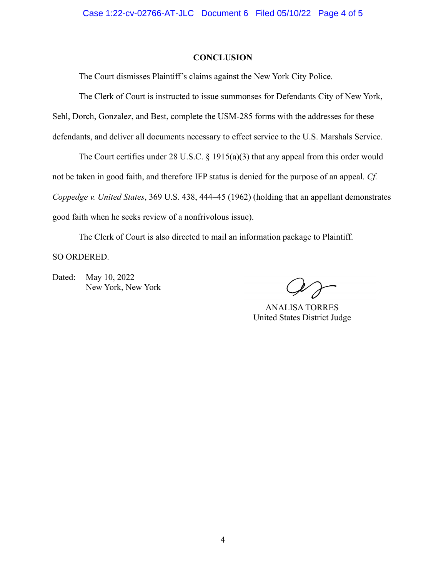### **CONCLUSION**

The Court dismisses Plaintiff's claims against the New York City Police.

The Clerk of Court is instructed to issue summonses for Defendants City of New York,

Sehl, Dorch, Gonzalez, and Best, complete the USM-285 forms with the addresses for these

defendants, and deliver all documents necessary to effect service to the U.S. Marshals Service.

The Court certifies under 28 U.S.C.  $\S$  1915(a)(3) that any appeal from this order would not be taken in good faith, and therefore IFP status is denied for the purpose of an appeal. *Cf. Coppedge v. United States*, 369 U.S. 438, 444–45 (1962) (holding that an appellant demonstrates good faith when he seeks review of a nonfrivolous issue).

The Clerk of Court is also directed to mail an information package to Plaintiff.

SO ORDERED.

Dated: May 10, 2022 New York, New York

ANALISA TORRES United States District Judge